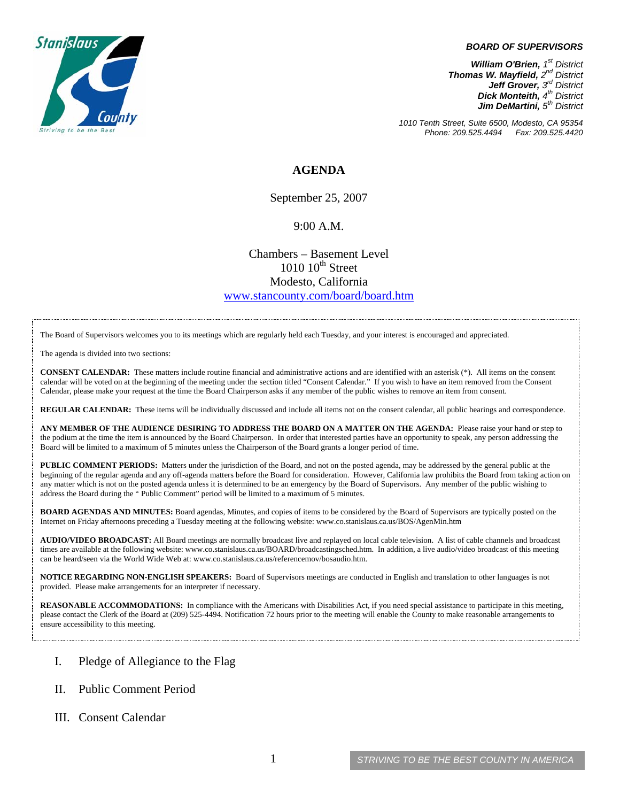

## *BOARD OF SUPERVISORS*

*William O'Brien, 1st District Thomas W. Mayfield, 2nd District Jeff Grover, 3rd District Dick Monteith, 4th District Jim DeMartini, 5th District*

*1010 Tenth Street, Suite 6500, Modesto, CA 95354 Phone: 209.525.4494* 

## **AGENDA**

September 25, 2007

## 9:00 A.M.

Chambers – Basement Level  $1010~10^{\text{th}}$  Street Modesto, California [www.stancounty.com/board/board.htm](http://www.stancounty.com/board/board.htm)

The Board of Supervisors welcomes you to its meetings which are regularly held each Tuesday, and your interest is encouraged and appreciated.

The agenda is divided into two sections:

**CONSENT CALENDAR:** These matters include routine financial and administrative actions and are identified with an asterisk (\*). All items on the consent calendar will be voted on at the beginning of the meeting under the section titled "Consent Calendar." If you wish to have an item removed from the Consent Calendar, please make your request at the time the Board Chairperson asks if any member of the public wishes to remove an item from consent.

**REGULAR CALENDAR:** These items will be individually discussed and include all items not on the consent calendar, all public hearings and correspondence.

**ANY MEMBER OF THE AUDIENCE DESIRING TO ADDRESS THE BOARD ON A MATTER ON THE AGENDA:** Please raise your hand or step to the podium at the time the item is announced by the Board Chairperson. In order that interested parties have an opportunity to speak, any person addressing the Board will be limited to a maximum of 5 minutes unless the Chairperson of the Board grants a longer period of time.

**PUBLIC COMMENT PERIODS:** Matters under the jurisdiction of the Board, and not on the posted agenda, may be addressed by the general public at the beginning of the regular agenda and any off-agenda matters before the Board for consideration. However, California law prohibits the Board from taking action on any matter which is not on the posted agenda unless it is determined to be an emergency by the Board of Supervisors. Any member of the public wishing to address the Board during the " Public Comment" period will be limited to a maximum of 5 minutes.

**BOARD AGENDAS AND MINUTES:** Board agendas, Minutes, and copies of items to be considered by the Board of Supervisors are typically posted on the Internet on Friday afternoons preceding a Tuesday meeting at the following website: [www.co.stanislaus.ca.us/BOS/AgenMin.htm](http://www.co.stanislaus.ca.us/BOS/AgenMin.htm) 

**AUDIO/VIDEO BROADCAST:** All Board meetings are normally broadcast live and replayed on local cable television. A list of cable channels and broadcast times are available at the following website: [www.co.stanislaus.ca.us/BOARD/broadcastingsched.htm](http://www.co.stanislaus.ca.us/BOARD/broadcastingsched.htm). In addition, a live audio/video broadcast of this meeting can be heard/seen via the World Wide Web at: [www.co.stanislaus.ca.us/referencemov/bosaudio.htm.](http://www.co.stanislaus.ca.us/referencemov/bosaudio.htm)

**NOTICE REGARDING NON-ENGLISH SPEAKERS:** Board of Supervisors meetings are conducted in English and translation to other languages is not provided. Please make arrangements for an interpreter if necessary.

**REASONABLE ACCOMMODATIONS:** In compliance with the Americans with Disabilities Act, if you need special assistance to participate in this meeting, please contact the Clerk of the Board at (209) 525-4494. Notification 72 hours prior to the meeting will enable the County to make reasonable arrangements to ensure accessibility to this meeting.

- I. Pledge of Allegiance to the Flag
- II. Public Comment Period
- III. Consent Calendar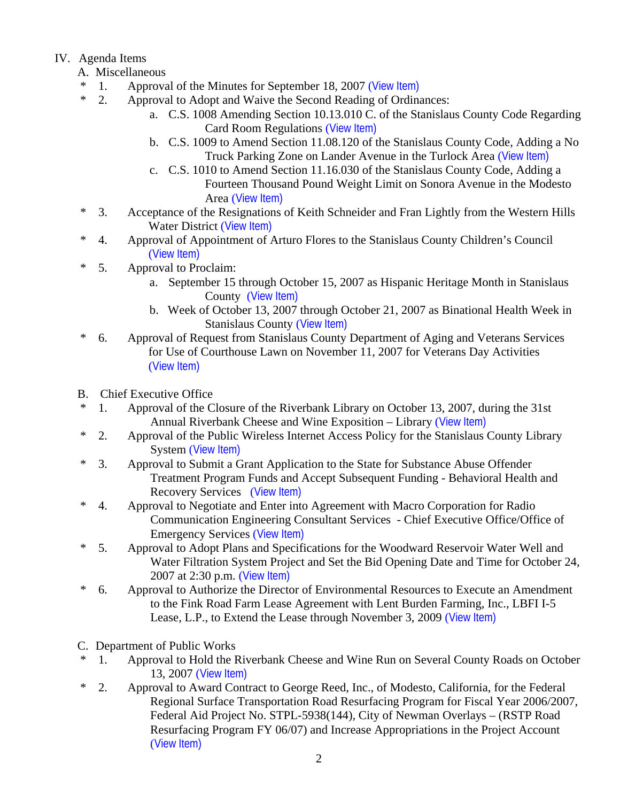## IV. Agenda Items

- A. Miscellaneous
- \* 1. Approval of the Minutes for September 18, 2007 ([View Item\)](http://www.co.stanislaus.ca.us/bos/minutes/2007/min09-18-07.pdf)
- \* 2. Approval to Adopt and Waive the Second Reading of Ordinances:
	- a. C.S. 1008 Amending Section 10.13.010 C. of the Stanislaus County Code Regarding Card Room Regulations ([View Item\)](http://www.co.stanislaus.ca.us/bos/agenda/2007/20070925/A02a.pdf)
	- b. C.S. 1009 to Amend Section 11.08.120 of the Stanislaus County Code, Adding a No Truck Parking Zone on Lander Avenue in the Turlock Area ([View Item\)](http://www.co.stanislaus.ca.us/bos/agenda/2007/20070925/A02b.pdf)
	- c. C.S. 1010 to Amend Section 11.16.030 of the Stanislaus County Code, Adding a Fourteen Thousand Pound Weight Limit on Sonora Avenue in the Modesto Area ([View Item\)](http://www.co.stanislaus.ca.us/bos/agenda/2007/20070925/A02c.pdf)
- \* 3. Acceptance of the Resignations of Keith Schneider and Fran Lightly from the Western Hills Water District ([View Item\)](http://www.co.stanislaus.ca.us/bos/agenda/2007/20070925/A03.pdf)
- \* 4. Approval of Appointment of Arturo Flores to the Stanislaus County Children's Council ([View Item\)](http://www.co.stanislaus.ca.us/bos/agenda/2007/20070925/A04.pdf)
- \* 5. Approval to Proclaim:
	- a. September 15 through October 15, 2007 as Hispanic Heritage Month in Stanislaus County ([View Item\)](http://www.co.stanislaus.ca.us/bos/agenda/2007/20070925/A05a.pdf)
	- b. Week of October 13, 2007 through October 21, 2007 as Binational Health Week in Stanislaus County ([View Item\)](http://www.co.stanislaus.ca.us/bos/agenda/2007/20070925/A05b.pdf)
- \* 6. Approval of Request from Stanislaus County Department of Aging and Veterans Services for Use of Courthouse Lawn on November 11, 2007 for Veterans Day Activities ([View Item\)](http://www.co.stanislaus.ca.us/bos/agenda/2007/20070925/A06.pdf)
- B. Chief Executive Office
- \* 1. Approval of the Closure of the Riverbank Library on October 13, 2007, during the 31st Annual Riverbank Cheese and Wine Exposition – Library ([View Item\)](http://www.co.stanislaus.ca.us/bos/agenda/2007/20070925/B01.pdf)
- \* 2. Approval of the Public Wireless Internet Access Policy for the Stanislaus County Library System ([View Item\)](http://www.co.stanislaus.ca.us/bos/agenda/2007/20070925/B02.pdf)
- \* 3. Approval to Submit a Grant Application to the State for Substance Abuse Offender Treatment Program Funds and Accept Subsequent Funding - Behavioral Health and Recovery Services ([View Item\)](http://www.co.stanislaus.ca.us/bos/agenda/2007/20070925/B03.pdf)
- \* 4. Approval to Negotiate and Enter into Agreement with Macro Corporation for Radio Communication Engineering Consultant Services - Chief Executive Office/Office of Emergency Services ([View Item\)](http://www.co.stanislaus.ca.us/bos/agenda/2007/20070925/B04.pdf)
- \* 5. Approval to Adopt Plans and Specifications for the Woodward Reservoir Water Well and Water Filtration System Project and Set the Bid Opening Date and Time for October 24, 2007 at 2:30 p.m. ([View Item\)](http://www.co.stanislaus.ca.us/bos/agenda/2007/20070925/B05.pdf)
- \* 6. Approval to Authorize the Director of Environmental Resources to Execute an Amendment to the Fink Road Farm Lease Agreement with Lent Burden Farming, Inc., LBFI I-5 Lease, L.P., to Extend the Lease through November 3, 2009 ([View Item\)](http://www.co.stanislaus.ca.us/bos/agenda/2007/20070925/B06.pdf)
- C. Department of Public Works
- \* 1. Approval to Hold the Riverbank Cheese and Wine Run on Several County Roads on October 13, 2007 ([View Item\)](http://www.co.stanislaus.ca.us/bos/agenda/2007/20070925/C01.pdf)
- \* 2. Approval to Award Contract to George Reed, Inc., of Modesto, California, for the Federal Regional Surface Transportation Road Resurfacing Program for Fiscal Year 2006/2007, Federal Aid Project No. STPL-5938(144), City of Newman Overlays – (RSTP Road Resurfacing Program FY 06/07) and Increase Appropriations in the Project Account ([View Item\)](http://www.co.stanislaus.ca.us/bos/agenda/2007/20070925/C02.pdf)